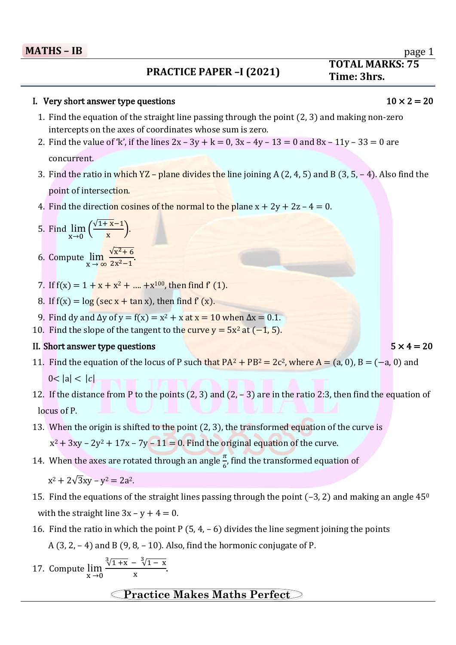# $\overline{a}$ **19 Time: 3hrs.**<br> **19 Time: 3hrs.**<br> **19 Time: 3hrs.**

### I. Very short answer type questions  $10 \times 2 = 20$

- 1. Find the equation of the straight line passing through the point (2, 3) and making non-zero intercepts on the axes of coordinates whose sum is zero.
- 2. Find the value of 'k', if the lines  $2x 3y + k = 0$ ,  $3x 4y 13 = 0$  and  $8x 11y 33 = 0$  are concurrent.
- 3. Find the ratio in which  $YZ$  plane divides the line joining A (2, 4, 5) and B (3, 5, 4). Also find the point of intersection.
- 4. Find the direction cosines of the normal to the plane  $x + 2y + 2z 4 = 0$ .
- 5. Find  $\lim_{x\to 0} \left( \frac{\sqrt{1+x-1}}{x} \right)$  $\frac{x^{n+1}}{x}$ .
- 6. Compute  $\lim_{x\to\infty}$  $\sqrt{x^2+6}$  $\frac{x^2-1}{2x^2-1}$ .
- 7. If  $f(x) = 1 + x + x^2 + \dots + x^{100}$ , then find  $f'(1)$ .
- 8. If  $f(x) = \log (\sec x + \tan x)$ , then find  $f'(x)$ .
- 9. Find dy and  $\Delta y$  of y = f(x) = x<sup>2</sup> + x at x = 10 when  $\Delta x = 0.1$ .
- 10. Find the slope of the tangent to the curve  $y = 5x^2$  at  $(-1, 5)$ .

### II. Short answer type questions  $5 \times 4 = 20$

- 11. Find the equation of the locus of P such that  $PA^2 + PB^2 = 2c^2$ , where  $A = (a, 0)$ ,  $B = (-a, 0)$  and  $0 < |a| < |c|$
- 12. If the distance from P to the points (2, 3) and (2, 3) are in the ratio 2:3, then find the equation of locus of P.
- 13. When the origin is shifted to the point (2, 3), the transformed equation of the curve is  $x^2 + 3xy - 2y^2 + 17x - 7y - 11 = 0$ . Find the original equation of the curve.
- 14. When the axes are rotated through an angle  $\frac{\pi}{6}$ , find the transformed equation of

 $x^2 + 2\sqrt{3}xy - y^2 = 2a^2$ .

- 15. Find the equations of the straight lines passing through the point  $(-3, 2)$  and making an angle  $45^{\circ}$ with the straight line  $3x - y + 4 = 0$ .
- 16. Find the ratio in which the point P  $(5, 4, -6)$  divides the line segment joining the points A  $(3, 2, -4)$  and B  $(9, 8, -10)$ . Also, find the hormonic conjugate of P.
- 17. Compute  $\lim_{x\to 0}$  $\sqrt[3]{1 + x} - \sqrt[3]{1 - x}$  $\frac{1}{x}$ .

## **Practice Makes Maths Perfect**

**TOTAL MARKS: 75**